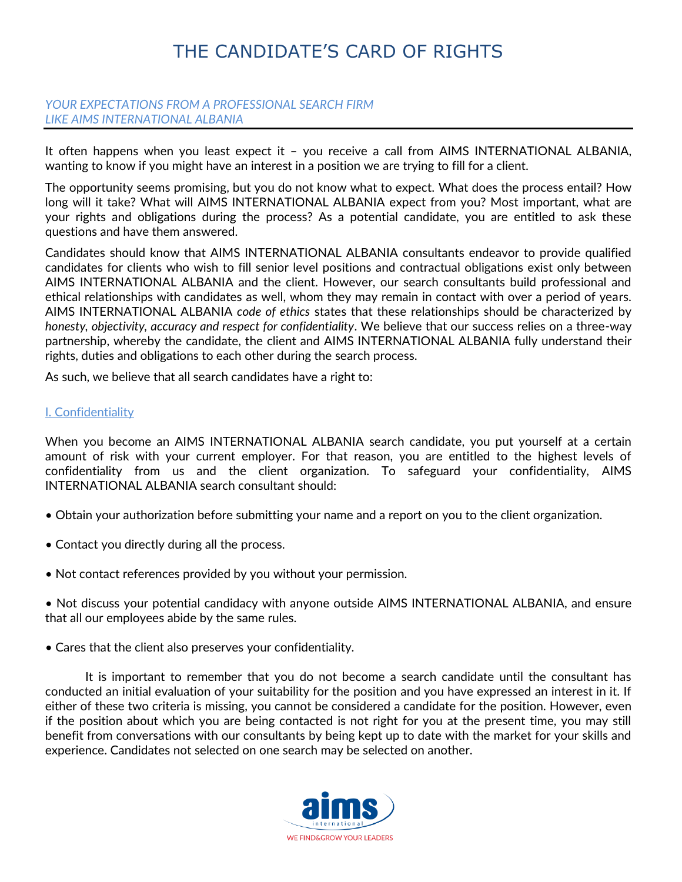# *YOUR EXPECTATIONS FROM A PROFESSIONAL SEARCH FIRM LIKE AIMS INTERNATIONAL ALBANIA*

It often happens when you least expect it – you receive a call from AIMS INTERNATIONAL ALBANIA, wanting to know if you might have an interest in a position we are trying to fill for a client.

The opportunity seems promising, but you do not know what to expect. What does the process entail? How long will it take? What will AIMS INTERNATIONAL ALBANIA expect from you? Most important, what are your rights and obligations during the process? As a potential candidate, you are entitled to ask these questions and have them answered.

Candidates should know that AIMS INTERNATIONAL ALBANIA consultants endeavor to provide qualified candidates for clients who wish to fill senior level positions and contractual obligations exist only between AIMS INTERNATIONAL ALBANIA and the client. However, our search consultants build professional and ethical relationships with candidates as well, whom they may remain in contact with over a period of years. AIMS INTERNATIONAL ALBANIA *code of ethics* states that these relationships should be characterized by *honesty, objectivity, accuracy and respect for confidentiality*. We believe that our success relies on a three-way partnership, whereby the candidate, the client and AIMS INTERNATIONAL ALBANIA fully understand their rights, duties and obligations to each other during the search process.

As such, we believe that all search candidates have a right to:

### I. Confidentiality

When you become an AIMS INTERNATIONAL ALBANIA search candidate, you put yourself at a certain amount of risk with your current employer. For that reason, you are entitled to the highest levels of confidentiality from us and the client organization. To safeguard your confidentiality, AIMS INTERNATIONAL ALBANIA search consultant should:

- Obtain your authorization before submitting your name and a report on you to the client organization.
- Contact you directly during all the process.
- Not contact references provided by you without your permission.

• Not discuss your potential candidacy with anyone outside AIMS INTERNATIONAL ALBANIA, and ensure that all our employees abide by the same rules.

• Cares that the client also preserves your confidentiality.

It is important to remember that you do not become a search candidate until the consultant has conducted an initial evaluation of your suitability for the position and you have expressed an interest in it. If either of these two criteria is missing, you cannot be considered a candidate for the position. However, even if the position about which you are being contacted is not right for you at the present time, you may still benefit from conversations with our consultants by being kept up to date with the market for your skills and experience. Candidates not selected on one search may be selected on another.

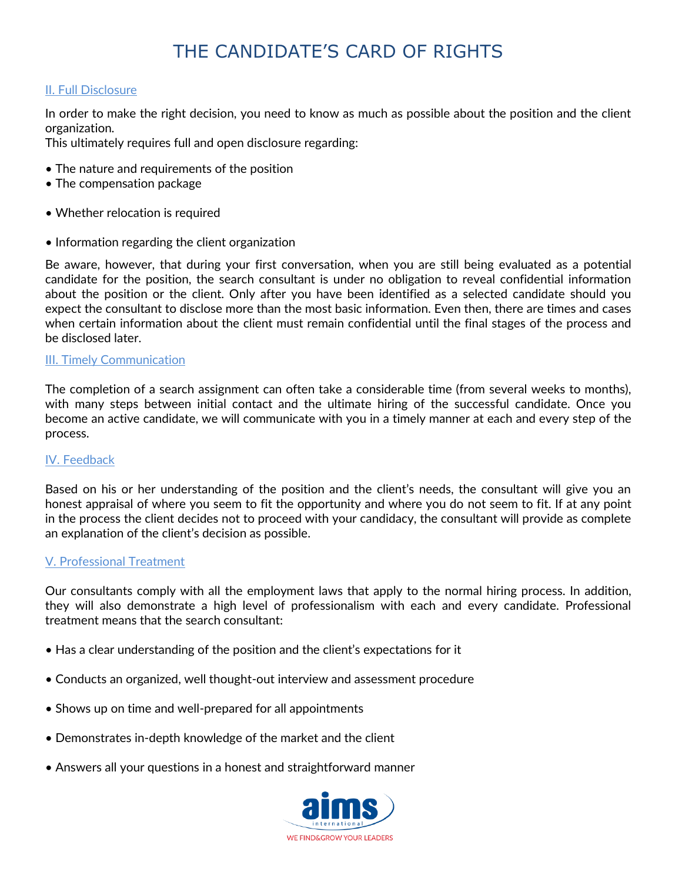# II. Full Disclosure

In order to make the right decision, you need to know as much as possible about the position and the client organization.

This ultimately requires full and open disclosure regarding:

- The nature and requirements of the position
- The compensation package
- Whether relocation is required
- Information regarding the client organization

Be aware, however, that during your first conversation, when you are still being evaluated as a potential candidate for the position, the search consultant is under no obligation to reveal confidential information about the position or the client. Only after you have been identified as a selected candidate should you expect the consultant to disclose more than the most basic information. Even then, there are times and cases when certain information about the client must remain confidential until the final stages of the process and be disclosed later.

### III. Timely Communication

The completion of a search assignment can often take a considerable time (from several weeks to months), with many steps between initial contact and the ultimate hiring of the successful candidate. Once you become an active candidate, we will communicate with you in a timely manner at each and every step of the process.

### IV. Feedback

Based on his or her understanding of the position and the client's needs, the consultant will give you an honest appraisal of where you seem to fit the opportunity and where you do not seem to fit. If at any point in the process the client decides not to proceed with your candidacy, the consultant will provide as complete an explanation of the client's decision as possible.

### V. Professional Treatment

Our consultants comply with all the employment laws that apply to the normal hiring process. In addition, they will also demonstrate a high level of professionalism with each and every candidate. Professional treatment means that the search consultant:

- Has a clear understanding of the position and the client's expectations for it
- Conducts an organized, well thought-out interview and assessment procedure
- Shows up on time and well-prepared for all appointments
- Demonstrates in-depth knowledge of the market and the client
- Answers all your questions in a honest and straightforward manner

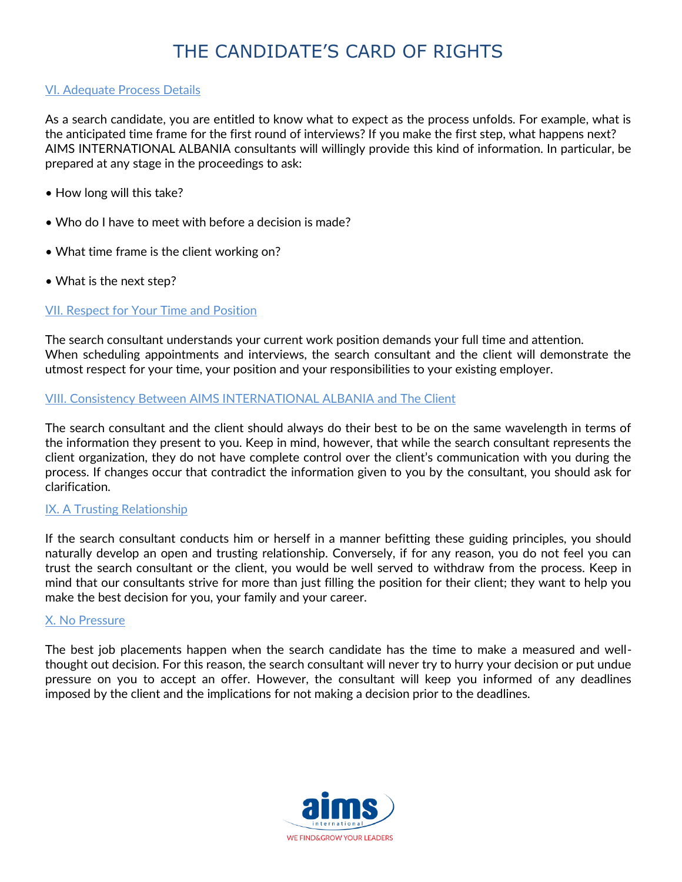## VI. Adequate Process Details

As a search candidate, you are entitled to know what to expect as the process unfolds. For example, what is the anticipated time frame for the first round of interviews? If you make the first step, what happens next? AIMS INTERNATIONAL ALBANIA consultants will willingly provide this kind of information. In particular, be prepared at any stage in the proceedings to ask:

- How long will this take?
- Who do I have to meet with before a decision is made?
- What time frame is the client working on?
- What is the next step?

# VII. Respect for Your Time and Position

The search consultant understands your current work position demands your full time and attention. When scheduling appointments and interviews, the search consultant and the client will demonstrate the utmost respect for your time, your position and your responsibilities to your existing employer.

# VIII. Consistency Between AIMS INTERNATIONAL ALBANIA and The Client

The search consultant and the client should always do their best to be on the same wavelength in terms of the information they present to you. Keep in mind, however, that while the search consultant represents the client organization, they do not have complete control over the client's communication with you during the process. If changes occur that contradict the information given to you by the consultant, you should ask for clarification.

### IX. A Trusting Relationship

If the search consultant conducts him or herself in a manner befitting these guiding principles, you should naturally develop an open and trusting relationship. Conversely, if for any reason, you do not feel you can trust the search consultant or the client, you would be well served to withdraw from the process. Keep in mind that our consultants strive for more than just filling the position for their client; they want to help you make the best decision for you, your family and your career.

### X. No Pressure

The best job placements happen when the search candidate has the time to make a measured and wellthought out decision. For this reason, the search consultant will never try to hurry your decision or put undue pressure on you to accept an offer. However, the consultant will keep you informed of any deadlines imposed by the client and the implications for not making a decision prior to the deadlines.